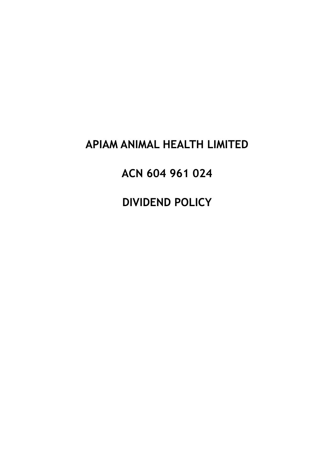# APIAM ANIMAL HEALTH LIMITED

ACN 604 961 024

**DIVIDEND POLICY**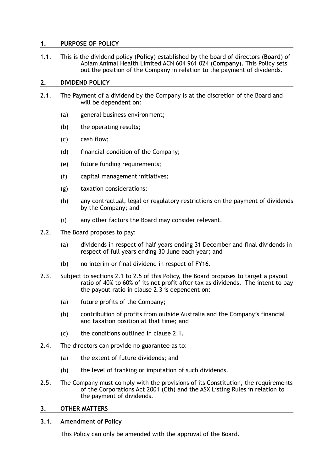### **1. PURPOSE OF POLICY**

1.1. This is the dividend policy (**Policy**) established by the board of directors (**Board**) of Apiam Animal Health Limited ACN 604 961 024 (**Company**). This Policy sets out the position of the Company in relation to the payment of dividends.

#### **2. DIVIDEND POLICY**

- 2.1. The Payment of a dividend by the Company is at the discretion of the Board and will be dependent on:
	- (a) general business environment;
	- (b) the operating results;
	- (c) cash flow;
	- (d) financial condition of the Company;
	- (e) future funding requirements;
	- (f) capital management initiatives;
	- (g) taxation considerations;
	- (h) any contractual, legal or regulatory restrictions on the payment of dividends by the Company; and
	- (i) any other factors the Board may consider relevant.
- 2.2. The Board proposes to pay:
	- (a) dividends in respect of half years ending 31 December and final dividends in respect of full years ending 30 June each year; and
	- (b) no interim or final dividend in respect of FY16.
- 2.3. Subject to sections 2.1 to 2.5 of this Policy, the Board proposes to target a payout ratio of 40% to 60% of its net profit after tax as dividends. The intent to pay the payout ratio in clause 2.3 is dependent on:
	- (a) future profits of the Company;
	- (b) contribution of profits from outside Australia and the Company's financial and taxation position at that time; and
	- (c) the conditions outlined in clause 2.1.
- 2.4. The directors can provide no guarantee as to:
	- (a) the extent of future dividends; and
	- (b) the level of franking or imputation of such dividends.
- 2.5. The Company must comply with the provisions of its Constitution, the requirements of the Corporations Act 2001 (Cth) and the ASX Listing Rules in relation to the payment of dividends.

#### **3. OTHER MATTERS**

#### **3.1. Amendment of Policy**

This Policy can only be amended with the approval of the Board.